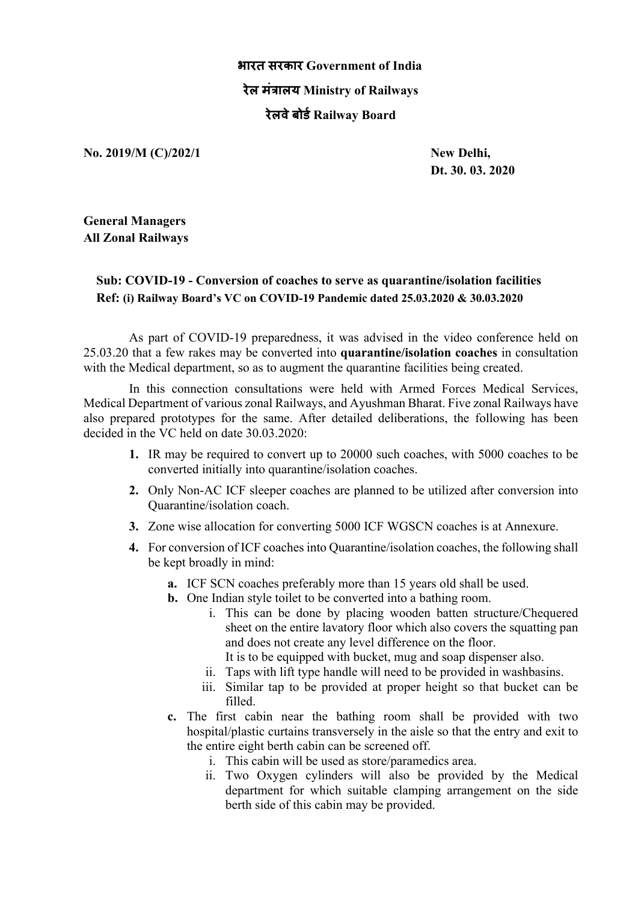## **भारत सरकार Government of India रेल मं+ालय Ministry of Railways रेलवेबोड1Railway Board**

**No. 2019/M (C)/202/1 New Delhi,**

**Dt. 30. 03. 2020**

**General Managers All Zonal Railways**

## **Sub: COVID-19 - Conversion of coaches to serve as quarantine/isolation facilities Ref: (i) Railway Board's VC on COVID-19 Pandemic dated 25.03.2020 & 30.03.2020**

As part of COVID-19 preparedness, it was advised in the video conference held on 25.03.20 that a few rakes may be converted into **quarantine/isolation coaches** in consultation with the Medical department, so as to augment the quarantine facilities being created.

In this connection consultations were held with Armed Forces Medical Services, Medical Department of various zonal Railways, and Ayushman Bharat. Five zonal Railways have also prepared prototypes for the same. After detailed deliberations, the following has been decided in the VC held on date 30.03.2020:

- **1.** IR may be required to convert up to 20000 such coaches, with 5000 coaches to be converted initially into quarantine/isolation coaches.
- **2.** Only Non-AC ICF sleeper coaches are planned to be utilized after conversion into Quarantine/isolation coach.
- **3.** Zone wise allocation for converting 5000 ICF WGSCN coaches is at Annexure.
- **4.** For conversion of ICF coaches into Quarantine/isolation coaches, the following shall be kept broadly in mind:
	- **a.** ICF SCN coaches preferably more than 15 years old shall be used.
	- **b.** One Indian style toilet to be converted into a bathing room.
		- i. This can be done by placing wooden batten structure/Chequered sheet on the entire lavatory floor which also covers the squatting pan and does not create any level difference on the floor.
			- It is to be equipped with bucket, mug and soap dispenser also.
		- ii. Taps with lift type handle will need to be provided in washbasins.
		- iii. Similar tap to be provided at proper height so that bucket can be filled.
	- **c.** The first cabin near the bathing room shall be provided with two hospital/plastic curtains transversely in the aisle so that the entry and exit to the entire eight berth cabin can be screened off.
		- i. This cabin will be used as store/paramedics area.
		- ii. Two Oxygen cylinders will also be provided by the Medical department for which suitable clamping arrangement on the side berth side of this cabin may be provided.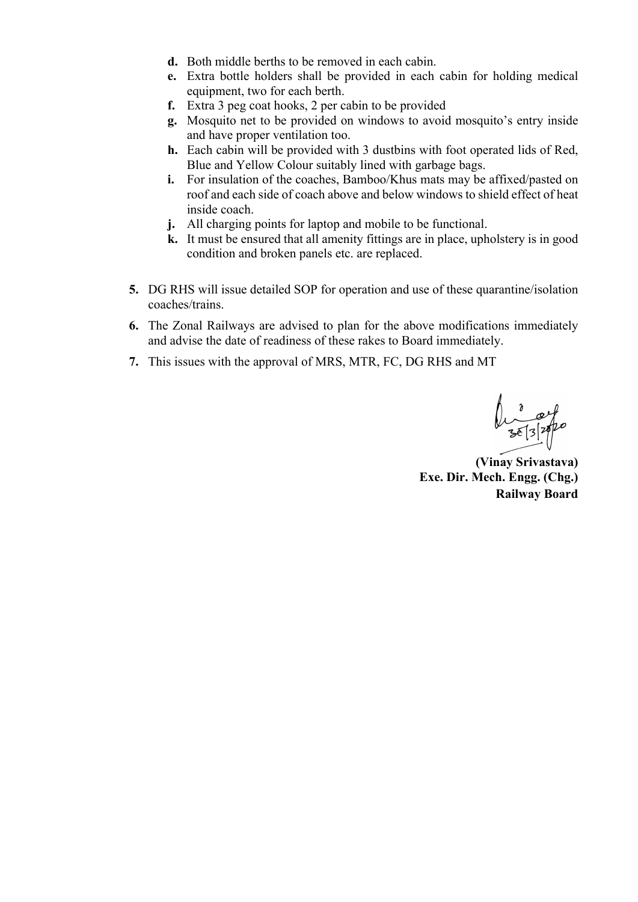- **d.** Both middle berths to be removed in each cabin.
- **e.** Extra bottle holders shall be provided in each cabin for holding medical equipment, two for each berth.
- **f.** Extra 3 peg coat hooks, 2 per cabin to be provided
- **g.** Mosquito net to be provided on windows to avoid mosquito's entry inside and have proper ventilation too.
- **h.** Each cabin will be provided with 3 dustbins with foot operated lids of Red, Blue and Yellow Colour suitably lined with garbage bags.
- **i.** For insulation of the coaches, Bamboo/Khus mats may be affixed/pasted on roof and each side of coach above and below windows to shield effect of heat inside coach.
- **j.** All charging points for laptop and mobile to be functional.
- **k.** It must be ensured that all amenity fittings are in place, upholstery is in good condition and broken panels etc. are replaced.
- **5.** DG RHS will issue detailed SOP for operation and use of these quarantine/isolation coaches/trains.
- **6.** The Zonal Railways are advised to plan for the above modifications immediately and advise the date of readiness of these rakes to Board immediately.
- **7.** This issues with the approval of MRS, MTR, FC, DG RHS and MT

**(Vinay Srivastava) Exe. Dir. Mech. Engg. (Chg.) Railway Board**